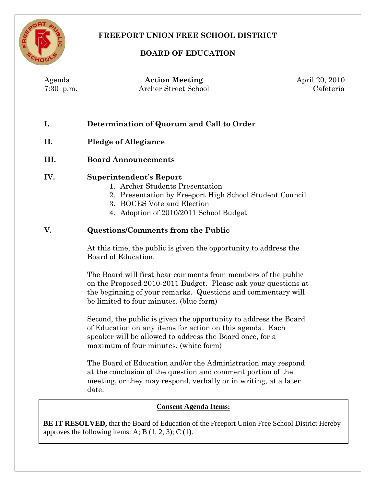

# **FREEPORT UNION FREE SCHOOL DISTRICT**

## **BOARD OF EDUCATION**

Agenda **Action Meeting** April 20, 2010

| 7:30 p.m. | Archer Street School                                                                                                                                                                                                                       | Cafeteria |
|-----------|--------------------------------------------------------------------------------------------------------------------------------------------------------------------------------------------------------------------------------------------|-----------|
| I.        | Determination of Quorum and Call to Order                                                                                                                                                                                                  |           |
| П.        | <b>Pledge of Allegiance</b>                                                                                                                                                                                                                |           |
| III.      | <b>Board Announcements</b>                                                                                                                                                                                                                 |           |
| IV.       | <b>Superintendent's Report</b><br>1. Archer Students Presentation<br>2. Presentation by Freeport High School Student Council<br>3. BOCES Vote and Election<br>4. Adoption of 2010/2011 School Budget                                       |           |
| V.        | <b>Questions/Comments from the Public</b>                                                                                                                                                                                                  |           |
|           | At this time, the public is given the opportunity to address the<br>Board of Education.                                                                                                                                                    |           |
|           | The Board will first hear comments from members of the public<br>on the Proposed 2010-2011 Budget. Please ask your questions at<br>the beginning of your remarks. Questions and commentary will<br>be limited to four minutes. (blue form) |           |
|           | Second, the public is given the opportunity to address the Board<br>of Education on any items for action on this agenda. Each<br>speaker will be allowed to address the Board once, for a<br>maximum of four minutes. (white form)         |           |
|           | The Board of Education and/or the Administration may respond<br>at the conclusion of the question and comment portion of the<br>meeting, or they may respond, verbally or in writing, at a later<br>date.                                  |           |
|           | <b>Consent Agenda Items:</b>                                                                                                                                                                                                               |           |

**BE IT RESOLVED**, that the Board of Education of the Freeport Union Free School District Hereby approves the following items: A; B  $(1, 2, 3)$ ; C  $(1)$ .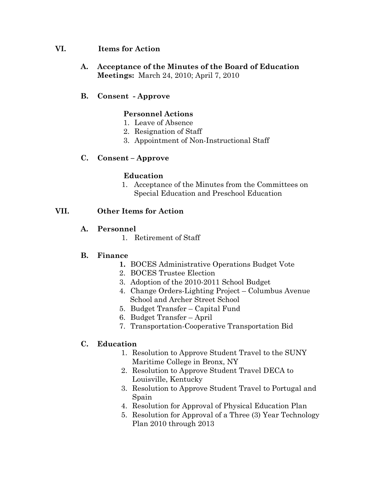#### **VI. Items for Action**

**A. Acceptance of the Minutes of the Board of Education Meetings:** March 24, 2010; April 7, 2010

## **B. Consent - Approve**

## **Personnel Actions**

- 1. Leave of Absence
- 2. Resignation of Staff
- 3. Appointment of Non-Instructional Staff

## **C. Consent – Approve**

#### **Education**

1. Acceptance of the Minutes from the Committees on Special Education and Preschool Education

#### **VII. Other Items for Action**

#### **A. Personnel**

1. Retirement of Staff

#### **B. Finance**

- **1.** BOCES Administrative Operations Budget Vote
- 2. BOCES Trustee Election
- 3. Adoption of the 2010-2011 School Budget
- 4. Change Orders-Lighting Project Columbus Avenue School and Archer Street School
- 5. Budget Transfer Capital Fund
- 6. Budget Transfer April
- 7. Transportation-Cooperative Transportation Bid

## **C. Education**

- 1. Resolution to Approve Student Travel to the SUNY Maritime College in Bronx, NY
- 2. Resolution to Approve Student Travel DECA to Louisville, Kentucky
- 3. Resolution to Approve Student Travel to Portugal and Spain
- 4. Resolution for Approval of Physical Education Plan
- 5. Resolution for Approval of a Three (3) Year Technology Plan 2010 through 2013